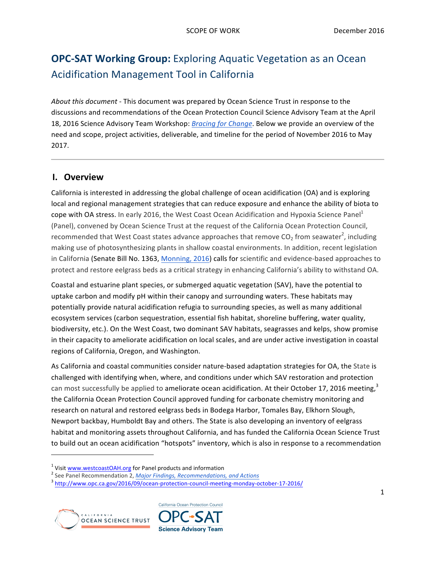# **OPC-SAT Working Group:** Exploring Aquatic Vegetation as an Ocean Acidification Management Tool in California

About this document - This document was prepared by Ocean Science Trust in response to the discussions and recommendations of the Ocean Protection Council Science Advisory Team at the April 18, 2016 Science Advisory Team Workshop: *Bracing for Change*. Below we provide an overview of the need and scope, project activities, deliverable, and timeline for the period of November 2016 to May 2017.

### **I. Overview**

California is interested in addressing the global challenge of ocean acidification (OA) and is exploring local and regional management strategies that can reduce exposure and enhance the ability of biota to cope with OA stress. In early 2016, the West Coast Ocean Acidification and Hypoxia Science Panel<sup>1</sup> (Panel), convened by Ocean Science Trust at the request of the California Ocean Protection Council, recommended that West Coast states advance approaches that remove CO<sub>2</sub> from seawater<sup>2</sup>, including making use of photosynthesizing plants in shallow coastal environments. In addition, recent legislation in California (Senate Bill No. 1363, Monning, 2016) calls for scientific and evidence-based approaches to protect and restore eelgrass beds as a critical strategy in enhancing California's ability to withstand OA.

Coastal and estuarine plant species, or submerged aquatic vegetation (SAV), have the potential to uptake carbon and modify pH within their canopy and surrounding waters. These habitats may potentially provide natural acidification refugia to surrounding species, as well as many additional ecosystem services (carbon sequestration, essential fish habitat, shoreline buffering, water quality, biodiversity, etc.). On the West Coast, two dominant SAV habitats, seagrasses and kelps, show promise in their capacity to ameliorate acidification on local scales, and are under active investigation in coastal regions of California, Oregon, and Washington.

As California and coastal communities consider nature-based adaptation strategies for OA, the State is challenged with identifying when, where, and conditions under which SAV restoration and protection can most successfully be applied to ameliorate ocean acidification. At their October 17, 2016 meeting,<sup>3</sup> the California Ocean Protection Council approved funding for carbonate chemistry monitoring and research on natural and restored eelgrass beds in Bodega Harbor, Tomales Bay, Elkhorn Slough, Newport backbay, Humboldt Bay and others. The State is also developing an inventory of eelgrass habitat and monitoring assets throughout California, and has funded the California Ocean Science Trust to build out an ocean acidification "hotspots" inventory, which is also in response to a recommendation

<sup>&</sup>lt;sup>1</sup> Visit www.westcoastOAH.org for Panel products and information<br>
<sup>2</sup> See Panel Recommendation 2, *Major Findings, Recommendations, and Actions*<br>
<sup>3</sup> http://www.opc.ca.gov/2016/09/ocean-protection-council-meeting-monday-o



<u> 1989 - Johann Stein, markin film yn y breninn y breninn y breninn y breninn y breninn y breninn y breninn y b</u>

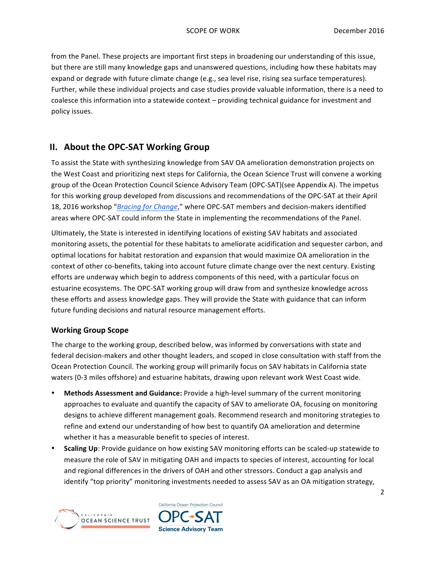from the Panel. These projects are important first steps in broadening our understanding of this issue, but there are still many knowledge gaps and unanswered questions, including how these habitats may expand or degrade with future climate change (e.g., sea level rise, rising sea surface temperatures). Further, while these individual projects and case studies provide valuable information, there is a need to coalesce this information into a statewide context – providing technical guidance for investment and policy issues.

## **II.** About the OPC-SAT Working Group

To assist the State with synthesizing knowledge from SAV OA amelioration demonstration projects on the West Coast and prioritizing next steps for California, the Ocean Science Trust will convene a working group of the Ocean Protection Council Science Advisory Team (OPC-SAT)(see Appendix A). The impetus for this working group developed from discussions and recommendations of the OPC-SAT at their April 18, 2016 workshop "*Bracing for Change*," where OPC-SAT members and decision-makers identified areas where OPC-SAT could inform the State in implementing the recommendations of the Panel.

Ultimately, the State is interested in identifying locations of existing SAV habitats and associated monitoring assets, the potential for these habitats to ameliorate acidification and sequester carbon, and optimal locations for habitat restoration and expansion that would maximize OA amelioration in the context of other co-benefits, taking into account future climate change over the next century. Existing efforts are underway which begin to address components of this need, with a particular focus on estuarine ecosystems. The OPC-SAT working group will draw from and synthesize knowledge across these efforts and assess knowledge gaps. They will provide the State with guidance that can inform future funding decisions and natural resource management efforts.

#### **Working Group Scope**

The charge to the working group, described below, was informed by conversations with state and federal decision-makers and other thought leaders, and scoped in close consultation with staff from the Ocean Protection Council. The working group will primarily focus on SAV habitats in California state waters (0-3 miles offshore) and estuarine habitats, drawing upon relevant work West Coast wide.

- **Methods Assessment and Guidance:** Provide a high-level summary of the current monitoring approaches to evaluate and quantify the capacity of SAV to ameliorate OA, focusing on monitoring designs to achieve different management goals. Recommend research and monitoring strategies to refine and extend our understanding of how best to quantify OA amelioration and determine whether it has a measurable benefit to species of interest.
- **Scaling Up**: Provide guidance on how existing SAV monitoring efforts can be scaled-up statewide to measure the role of SAV in mitigating OAH and impacts to species of interest, accounting for local and regional differences in the drivers of OAH and other stressors. Conduct a gap analysis and identify "top priority" monitoring investments needed to assess SAV as an OA mitigation strategy,



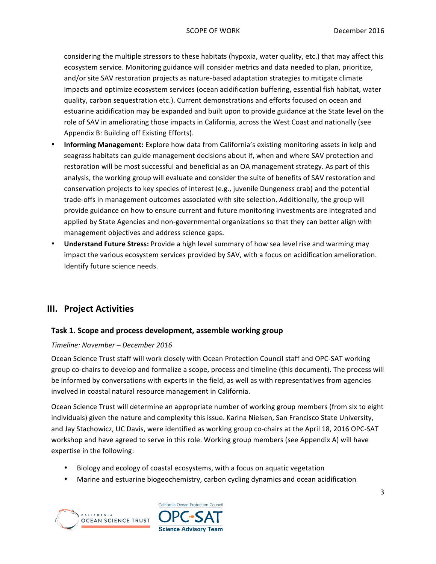considering the multiple stressors to these habitats (hypoxia, water quality, etc.) that may affect this ecosystem service. Monitoring guidance will consider metrics and data needed to plan, prioritize, and/or site SAV restoration projects as nature-based adaptation strategies to mitigate climate impacts and optimize ecosystem services (ocean acidification buffering, essential fish habitat, water quality, carbon sequestration etc.). Current demonstrations and efforts focused on ocean and estuarine acidification may be expanded and built upon to provide guidance at the State level on the role of SAV in ameliorating those impacts in California, across the West Coast and nationally (see Appendix B: Building off Existing Efforts).

- **Informing Management:** Explore how data from California's existing monitoring assets in kelp and seagrass habitats can guide management decisions about if, when and where SAV protection and restoration will be most successful and beneficial as an OA management strategy. As part of this analysis, the working group will evaluate and consider the suite of benefits of SAV restoration and conservation projects to key species of interest (e.g., juvenile Dungeness crab) and the potential trade-offs in management outcomes associated with site selection. Additionally, the group will provide guidance on how to ensure current and future monitoring investments are integrated and applied by State Agencies and non-governmental organizations so that they can better align with management objectives and address science gaps.
- **Understand Future Stress:** Provide a high level summary of how sea level rise and warming may impact the various ecosystem services provided by SAV, with a focus on acidification amelioration. Identify future science needs.

## **III. Project Activities**

#### **Task 1. Scope and process development, assemble working group**

#### *Timeline: November – December 2016*

Ocean Science Trust staff will work closely with Ocean Protection Council staff and OPC-SAT working group co-chairs to develop and formalize a scope, process and timeline (this document). The process will be informed by conversations with experts in the field, as well as with representatives from agencies involved in coastal natural resource management in California.

Ocean Science Trust will determine an appropriate number of working group members (from six to eight individuals) given the nature and complexity this issue. Karina Nielsen, San Francisco State University, and Jay Stachowicz, UC Davis, were identified as working group co-chairs at the April 18, 2016 OPC-SAT workshop and have agreed to serve in this role. Working group members (see Appendix A) will have expertise in the following:

- Biology and ecology of coastal ecosystems, with a focus on aquatic vegetation
- Marine and estuarine biogeochemistry, carbon cycling dynamics and ocean acidification



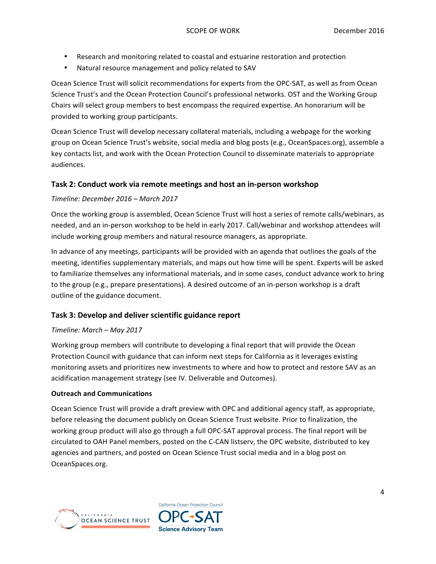- Research and monitoring related to coastal and estuarine restoration and protection
- Natural resource management and policy related to SAV

Ocean Science Trust will solicit recommendations for experts from the OPC-SAT, as well as from Ocean Science Trust's and the Ocean Protection Council's professional networks. OST and the Working Group Chairs will select group members to best encompass the required expertise. An honorarium will be provided to working group participants.

Ocean Science Trust will develop necessary collateral materials, including a webpage for the working group on Ocean Science Trust's website, social media and blog posts (e.g., OceanSpaces.org), assemble a key contacts list, and work with the Ocean Protection Council to disseminate materials to appropriate audiences.

#### **Task 2: Conduct work via remote meetings and host an in-person workshop**

#### *Timeline: December 2016 – March 2017*

Once the working group is assembled, Ocean Science Trust will host a series of remote calls/webinars, as needed, and an in-person workshop to be held in early 2017. Call/webinar and workshop attendees will include working group members and natural resource managers, as appropriate.

In advance of any meetings, participants will be provided with an agenda that outlines the goals of the meeting, identifies supplementary materials, and maps out how time will be spent. Experts will be asked to familiarize themselves any informational materials, and in some cases, conduct advance work to bring to the group (e.g., prepare presentations). A desired outcome of an in-person workshop is a draft outline of the guidance document.

#### **Task 3: Develop and deliver scientific guidance report**

#### *Timeline: March – May 2017*

Working group members will contribute to developing a final report that will provide the Ocean Protection Council with guidance that can inform next steps for California as it leverages existing monitoring assets and prioritizes new investments to where and how to protect and restore SAV as an acidification management strategy (see IV. Deliverable and Outcomes).

#### **Outreach and Communications**

Ocean Science Trust will provide a draft preview with OPC and additional agency staff, as appropriate, before releasing the document publicly on Ocean Science Trust website. Prior to finalization, the working group product will also go through a full OPC-SAT approval process. The final report will be circulated to OAH Panel members, posted on the C-CAN listserv, the OPC website, distributed to key agencies and partners, and posted on Ocean Science Trust social media and in a blog post on OceanSpaces.org.



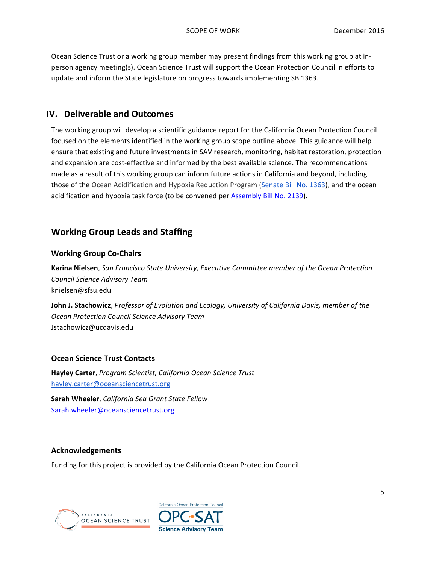Ocean Science Trust or a working group member may present findings from this working group at inperson agency meeting(s). Ocean Science Trust will support the Ocean Protection Council in efforts to update and inform the State legislature on progress towards implementing SB 1363.

### **IV.** Deliverable and Outcomes

The working group will develop a scientific guidance report for the California Ocean Protection Council focused on the elements identified in the working group scope outline above. This guidance will help ensure that existing and future investments in SAV research, monitoring, habitat restoration, protection and expansion are cost-effective and informed by the best available science. The recommendations made as a result of this working group can inform future actions in California and beyond, including those of the Ocean Acidification and Hypoxia Reduction Program (Senate Bill No. 1363), and the ocean acidification and hypoxia task force (to be convened per **Assembly Bill No. 2139)**.

## **Working Group Leads and Staffing**

#### **Working Group Co-Chairs**

**Karina Nielsen**, San Francisco State University, Executive Committee member of the Ocean Protection *Council Science Advisory Team* knielsen@sfsu.edu

**John J. Stachowicz**, Professor of Evolution and Ecology, University of California Davis, member of the *Ocean Protection Council Science Advisory Team* Jstachowicz@ucdavis.edu

#### **Ocean Science Trust Contacts**

**Hayley Carter**, *Program Scientist, California Ocean Science Trust* [hayley.carter@oceansciencetrust.org](mailto:Hayley.carter@oceansciencetrust.org)

**Sarah Wheeler**, *California Sea Grant State Fellow* [Sarah.wheeler@oceansciencetrust.org](mailto:Sarah.wheeler@oceansciencetrust.org)

#### **Acknowledgements**

Funding for this project is provided by the California Ocean Protection Council.



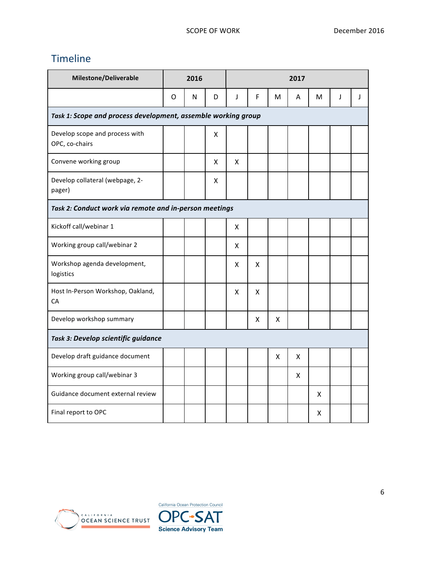## Timeline

| Milestone/Deliverable                                         | 2016 |   |   | 2017 |   |   |   |   |   |   |
|---------------------------------------------------------------|------|---|---|------|---|---|---|---|---|---|
|                                                               | O    | N | D | J    | F | м | A | м | J | J |
| Task 1: Scope and process development, assemble working group |      |   |   |      |   |   |   |   |   |   |
| Develop scope and process with<br>OPC, co-chairs              |      |   | X |      |   |   |   |   |   |   |
| Convene working group                                         |      |   | X | X    |   |   |   |   |   |   |
| Develop collateral (webpage, 2-<br>pager)                     |      |   | X |      |   |   |   |   |   |   |
| Task 2: Conduct work via remote and in-person meetings        |      |   |   |      |   |   |   |   |   |   |
| Kickoff call/webinar 1                                        |      |   |   | X.   |   |   |   |   |   |   |
| Working group call/webinar 2                                  |      |   |   | x    |   |   |   |   |   |   |
| Workshop agenda development,<br>logistics                     |      |   |   | X    | X |   |   |   |   |   |
| Host In-Person Workshop, Oakland,<br>CA                       |      |   |   | x    | X |   |   |   |   |   |
| Develop workshop summary                                      |      |   |   |      | X | X |   |   |   |   |
| Task 3: Develop scientific guidance                           |      |   |   |      |   |   |   |   |   |   |
| Develop draft guidance document                               |      |   |   |      |   | X | X |   |   |   |
| Working group call/webinar 3                                  |      |   |   |      |   |   | X |   |   |   |
| Guidance document external review                             |      |   |   |      |   |   |   | X |   |   |
| Final report to OPC                                           |      |   |   |      |   |   |   | x |   |   |



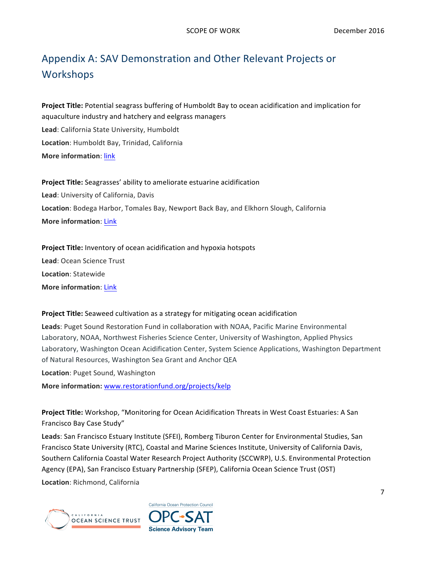# Appendix A: SAV Demonstration and Other Relevant Projects or **Workshops**

**Project Title:** Potential seagrass buffering of Humboldt Bay to ocean acidification and implication for aquaculture industry and hatchery and eelgrass managers Lead: California State University, Humboldt **Location**: Humboldt Bay, Trinidad, California **More information: link** 

**Project Title:** Seagrasses' ability to ameliorate estuarine acidification Lead: University of California, Davis Location: Bodega Harbor, Tomales Bay, Newport Back Bay, and Elkhorn Slough, California **More information: Link** 

**Project Title:** Inventory of ocean acidification and hypoxia hotspots Lead: Ocean Science Trust **Location**: Statewide **More information: Link** 

**Project Title:** Seaweed cultivation as a strategy for mitigating ocean acidification

**Leads:** Puget Sound Restoration Fund in collaboration with NOAA, Pacific Marine Environmental Laboratory, NOAA, Northwest Fisheries Science Center, University of Washington, Applied Physics Laboratory, Washington Ocean Acidification Center, System Science Applications, Washington Department of Natural Resources, Washington Sea Grant and Anchor QEA

**Location**: Puget Sound, Washington

More information: [www.restorationfund.org/projects/kelp](http://www.restorationfund.org/projects/kelp)

Project Title: Workshop, "Monitoring for Ocean Acidification Threats in West Coast Estuaries: A San Francisco Bay Case Study"

Leads: San Francisco Estuary Institute (SFEI), Romberg Tiburon Center for Environmental Studies, San Francisco State University (RTC), Coastal and Marine Sciences Institute, University of California Davis, Southern California Coastal Water Research Project Authority (SCCWRP), U.S. Environmental Protection Agency (EPA), San Francisco Estuary Partnership (SFEP), California Ocean Science Trust (OST)

**Location**: Richmond, California